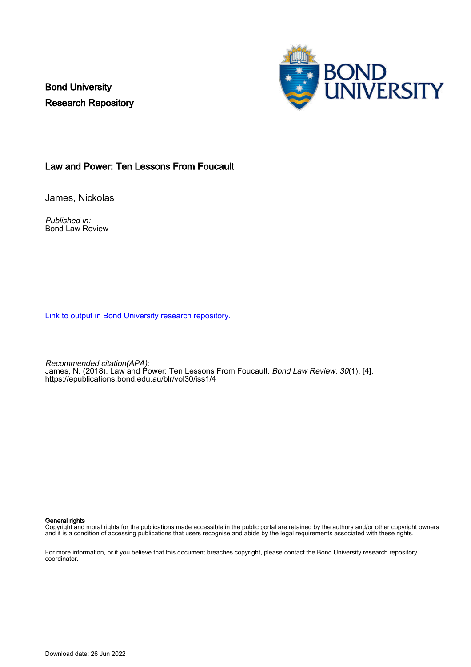Bond University Research Repository



### Law and Power: Ten Lessons From Foucault

James, Nickolas

Published in: Bond Law Review

[Link to output in Bond University research repository.](https://research.bond.edu.au/en/publications/28494f83-c212-4b55-a537-1f5a6360b0d8)

Recommended citation(APA): James, N. (2018). Law and Power: Ten Lessons From Foucault. Bond Law Review, 30(1), [4]. <https://epublications.bond.edu.au/blr/vol30/iss1/4>

#### General rights

Copyright and moral rights for the publications made accessible in the public portal are retained by the authors and/or other copyright owners and it is a condition of accessing publications that users recognise and abide by the legal requirements associated with these rights.

For more information, or if you believe that this document breaches copyright, please contact the Bond University research repository coordinator.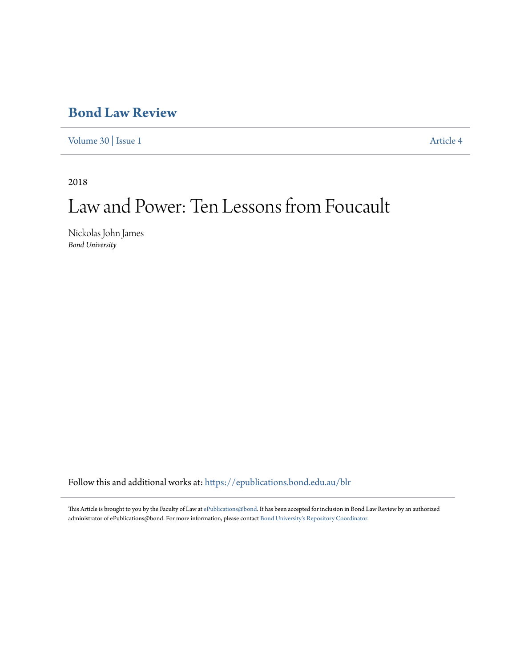## **[Bond Law Review](https://epublications.bond.edu.au/blr?utm_source=epublications.bond.edu.au%2Fblr%2Fvol30%2Fiss1%2F4&utm_medium=PDF&utm_campaign=PDFCoverPages)**

[Volume 30](https://epublications.bond.edu.au/blr/vol30?utm_source=epublications.bond.edu.au%2Fblr%2Fvol30%2Fiss1%2F4&utm_medium=PDF&utm_campaign=PDFCoverPages) | [Issue 1](https://epublications.bond.edu.au/blr/vol30/iss1?utm_source=epublications.bond.edu.au%2Fblr%2Fvol30%2Fiss1%2F4&utm_medium=PDF&utm_campaign=PDFCoverPages) [Article 4](https://epublications.bond.edu.au/blr/vol30/iss1/4?utm_source=epublications.bond.edu.au%2Fblr%2Fvol30%2Fiss1%2F4&utm_medium=PDF&utm_campaign=PDFCoverPages)

2018

# Law and Power: Ten Lessons from Foucault

Nickolas John James *Bond University*

Follow this and additional works at: [https://epublications.bond.edu.au/blr](https://epublications.bond.edu.au/blr?utm_source=epublications.bond.edu.au%2Fblr%2Fvol30%2Fiss1%2F4&utm_medium=PDF&utm_campaign=PDFCoverPages)

This Article is brought to you by the Faculty of Law at [ePublications@bond.](https://epublications.bond.edu.au) It has been accepted for inclusion in Bond Law Review by an authorized administrator of ePublications@bond. For more information, please contact [Bond University's Repository Coordinator](mailto:acass@bond.edu.au).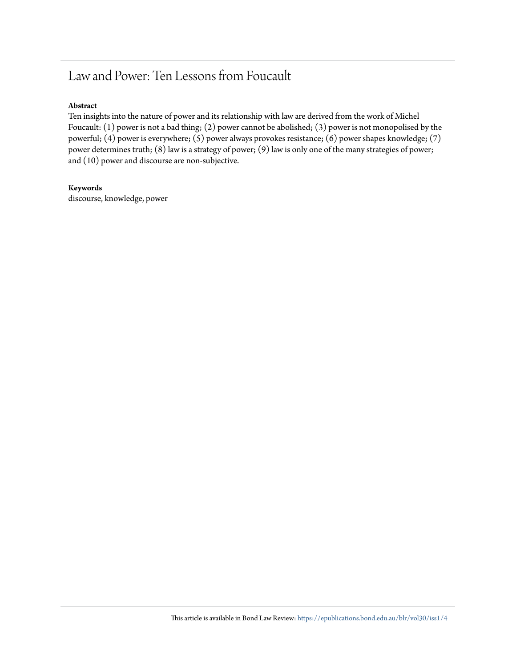### Law and Power: Ten Lessons from Foucault

### **Abstract**

Ten insights into the nature of power and its relationship with law are derived from the work of Michel Foucault: (1) power is not a bad thing; (2) power cannot be abolished; (3) power is not monopolised by the powerful; (4) power is everywhere; (5) power always provokes resistance; (6) power shapes knowledge; (7) power determines truth; (8) law is a strategy of power; (9) law is only one of the many strategies of power; and (10) power and discourse are non-subjective.

### **Keywords**

discourse, knowledge, power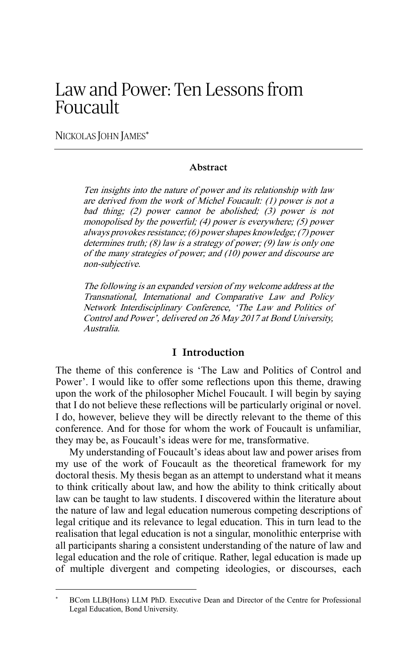### Law and Power: Ten Lessons from Foucault

NICKOLAS JOHN JAMES\*

**.** 

#### **Abstract**

Ten insights into the nature of power and its relationship with law are derived from the work of Michel Foucault: (1) power is not a bad thing; (2) power cannot be abolished; (3) power is not monopolised by the powerful; (4) power is everywhere; (5) power always provokes resistance; (6) power shapes knowledge; (7) power determines truth; (8) law is a strategy of power; (9) law is only one of the many strategies of power; and (10) power and discourse are non-subjective.

The following is an expanded version of my welcome address at the Transnational, International and Comparative Law and Policy Network Interdisciplinary Conference, 'The Law and Politics of Control and Power', delivered on 26 May 2017 at Bond University, Australia.

#### **I Introduction**

The theme of this conference is 'The Law and Politics of Control and Power'. I would like to offer some reflections upon this theme, drawing upon the work of the philosopher Michel Foucault. I will begin by saying that I do not believe these reflections will be particularly original or novel. I do, however, believe they will be directly relevant to the theme of this conference. And for those for whom the work of Foucault is unfamiliar, they may be, as Foucault's ideas were for me, transformative.

My understanding of Foucault's ideas about law and power arises from my use of the work of Foucault as the theoretical framework for my doctoral thesis. My thesis began as an attempt to understand what it means to think critically about law, and how the ability to think critically about law can be taught to law students. I discovered within the literature about the nature of law and legal education numerous competing descriptions of legal critique and its relevance to legal education. This in turn lead to the realisation that legal education is not a singular, monolithic enterprise with all participants sharing a consistent understanding of the nature of law and legal education and the role of critique. Rather, legal education is made up of multiple divergent and competing ideologies, or discourses, each

BCom LLB(Hons) LLM PhD. Executive Dean and Director of the Centre for Professional Legal Education, Bond University.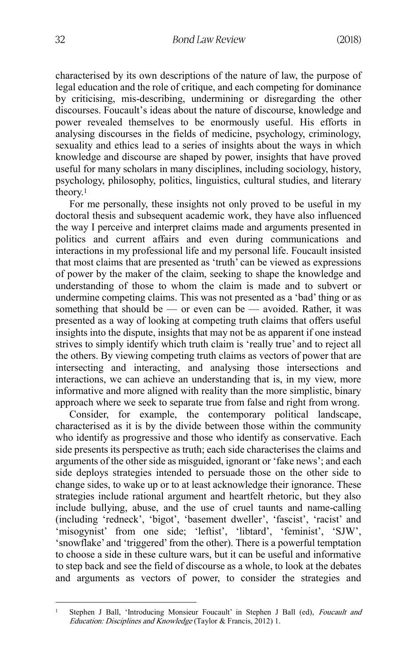characterised by its own descriptions of the nature of law, the purpose of legal education and the role of critique, and each competing for dominance by criticising, mis-describing, undermining or disregarding the other discourses. Foucault's ideas about the nature of discourse, knowledge and power revealed themselves to be enormously useful. His efforts in analysing discourses in the fields of medicine, psychology, criminology, sexuality and ethics lead to a series of insights about the ways in which knowledge and discourse are shaped by power, insights that have proved useful for many scholars in many disciplines, including sociology, history, psychology, philosophy, politics, linguistics, cultural studies, and literary theory.<sup>1</sup>

For me personally, these insights not only proved to be useful in my doctoral thesis and subsequent academic work, they have also influenced the way I perceive and interpret claims made and arguments presented in politics and current affairs and even during communications and interactions in my professional life and my personal life. Foucault insisted that most claims that are presented as 'truth' can be viewed as expressions of power by the maker of the claim, seeking to shape the knowledge and understanding of those to whom the claim is made and to subvert or undermine competing claims. This was not presented as a 'bad' thing or as something that should be — or even can be — avoided. Rather, it was presented as a way of looking at competing truth claims that offers useful insights into the dispute, insights that may not be as apparent if one instead strives to simply identify which truth claim is 'really true' and to reject all the others. By viewing competing truth claims as vectors of power that are intersecting and interacting, and analysing those intersections and interactions, we can achieve an understanding that is, in my view, more informative and more aligned with reality than the more simplistic, binary approach where we seek to separate true from false and right from wrong.

Consider, for example, the contemporary political landscape, characterised as it is by the divide between those within the community who identify as progressive and those who identify as conservative. Each side presents its perspective as truth; each side characterises the claims and arguments of the other side as misguided, ignorant or 'fake news'; and each side deploys strategies intended to persuade those on the other side to change sides, to wake up or to at least acknowledge their ignorance. These strategies include rational argument and heartfelt rhetoric, but they also include bullying, abuse, and the use of cruel taunts and name-calling (including 'redneck', 'bigot', 'basement dweller', 'fascist', 'racist' and 'misogynist' from one side; 'leftist', 'libtard', 'feminist', 'SJW', 'snowflake' and 'triggered' from the other). There is a powerful temptation to choose a side in these culture wars, but it can be useful and informative to step back and see the field of discourse as a whole, to look at the debates and arguments as vectors of power, to consider the strategies and

**<sup>.</sup>** <sup>1</sup> Stephen J Ball, 'Introducing Monsieur Foucault' in Stephen J Ball (ed), Foucault and Education: Disciplines and Knowledge (Taylor & Francis, 2012) 1.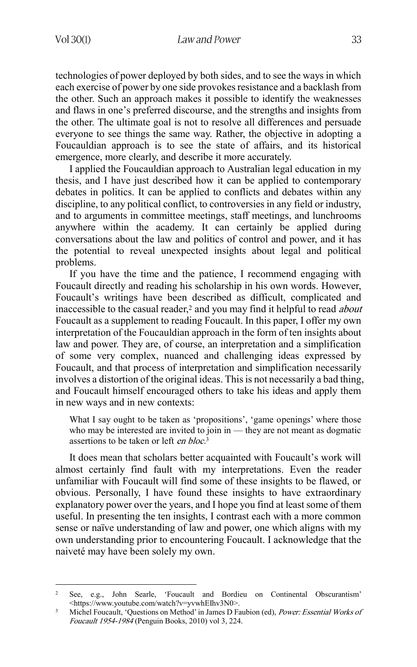technologies of power deployed by both sides, and to see the ways in which each exercise of power by one side provokes resistance and a backlash from the other. Such an approach makes it possible to identify the weaknesses and flaws in one's preferred discourse, and the strengths and insights from the other. The ultimate goal is not to resolve all differences and persuade everyone to see things the same way. Rather, the objective in adopting a Foucauldian approach is to see the state of affairs, and its historical emergence, more clearly, and describe it more accurately.

I applied the Foucauldian approach to Australian legal education in my thesis, and I have just described how it can be applied to contemporary debates in politics. It can be applied to conflicts and debates within any discipline, to any political conflict, to controversies in any field or industry, and to arguments in committee meetings, staff meetings, and lunchrooms anywhere within the academy. It can certainly be applied during conversations about the law and politics of control and power, and it has the potential to reveal unexpected insights about legal and political problems.

If you have the time and the patience, I recommend engaging with Foucault directly and reading his scholarship in his own words. However, Foucault's writings have been described as difficult, complicated and inaccessible to the casual reader,<sup>2</sup> and you may find it helpful to read *about* Foucault as a supplement to reading Foucault. In this paper, I offer my own interpretation of the Foucauldian approach in the form of ten insights about law and power. They are, of course, an interpretation and a simplification of some very complex, nuanced and challenging ideas expressed by Foucault, and that process of interpretation and simplification necessarily involves a distortion of the original ideas. This is not necessarily a bad thing, and Foucault himself encouraged others to take his ideas and apply them in new ways and in new contexts:

What I say ought to be taken as 'propositions', 'game openings' where those who may be interested are invited to join in  $-$  they are not meant as dogmatic assertions to be taken or left *en bloc*.<sup>3</sup>

It does mean that scholars better acquainted with Foucault's work will almost certainly find fault with my interpretations. Even the reader unfamiliar with Foucault will find some of these insights to be flawed, or obvious. Personally, I have found these insights to have extraordinary explanatory power over the years, and I hope you find at least some of them useful. In presenting the ten insights, I contrast each with a more common sense or naïve understanding of law and power, one which aligns with my own understanding prior to encountering Foucault. I acknowledge that the naiveté may have been solely my own.

**<sup>.</sup>** <sup>2</sup> See, e.g., John Searle, 'Foucault and Bordieu on Continental Obscurantism' <https://www.youtube.com/watch?v=yvwhEIhv3N0>.

<sup>&</sup>lt;sup>3</sup> Michel Foucault, 'Questions on Method' in James D Faubion (ed), Power: Essential Works of Foucault 1954-1984 (Penguin Books, 2010) vol 3, 224.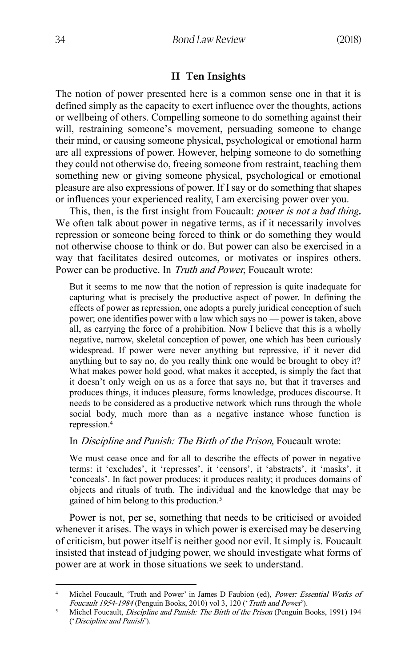### **II Ten Insights**

The notion of power presented here is a common sense one in that it is defined simply as the capacity to exert influence over the thoughts, actions or wellbeing of others. Compelling someone to do something against their will, restraining someone's movement, persuading someone to change their mind, or causing someone physical, psychological or emotional harm are all expressions of power. However, helping someone to do something they could not otherwise do, freeing someone from restraint, teaching them something new or giving someone physical, psychological or emotional pleasure are also expressions of power. If I say or do something that shapes or influences your experienced reality, I am exercising power over you.

This, then, is the first insight from Foucault: power is not a bad thing**.** We often talk about power in negative terms, as if it necessarily involves repression or someone being forced to think or do something they would not otherwise choose to think or do. But power can also be exercised in a way that facilitates desired outcomes, or motivates or inspires others. Power can be productive. In Truth and Power, Foucault wrote:

But it seems to me now that the notion of repression is quite inadequate for capturing what is precisely the productive aspect of power. In defining the effects of power as repression, one adopts a purely juridical conception of such power; one identifies power with a law which says no — power is taken, above all, as carrying the force of a prohibition. Now I believe that this is a wholly negative, narrow, skeletal conception of power, one which has been curiously widespread. If power were never anything but repressive, if it never did anything but to say no, do you really think one would be brought to obey it? What makes power hold good, what makes it accepted, is simply the fact that it doesn't only weigh on us as a force that says no, but that it traverses and produces things, it induces pleasure, forms knowledge, produces discourse. It needs to be considered as a productive network which runs through the whole social body, much more than as a negative instance whose function is repression.<sup>4</sup>

### In *Discipline and Punish: The Birth of the Prison*, Foucault wrote:

We must cease once and for all to describe the effects of power in negative terms: it 'excludes', it 'represses', it 'censors', it 'abstracts', it 'masks', it 'conceals'. In fact power produces: it produces reality; it produces domains of objects and rituals of truth. The individual and the knowledge that may be gained of him belong to this production.<sup>5</sup>

Power is not, per se, something that needs to be criticised or avoided whenever it arises. The ways in which power is exercised may be deserving of criticism, but power itself is neither good nor evil. It simply is. Foucault insisted that instead of judging power, we should investigate what forms of power are at work in those situations we seek to understand.

<sup>&</sup>lt;sup>4</sup> Michel Foucault, 'Truth and Power' in James D Faubion (ed), *Power: Essential Works of* Foucault 1954-1984 (Penguin Books, 2010) vol 3, 120 ('Truth and Power').

<sup>&</sup>lt;sup>5</sup> Michel Foucault, *Discipline and Punish: The Birth of the Prison* (Penguin Books, 1991) 194 ('Discipline and Punish').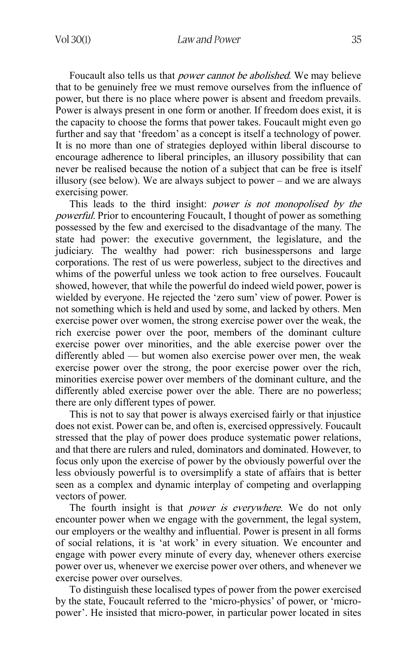Foucault also tells us that *power cannot be abolished*. We may believe that to be genuinely free we must remove ourselves from the influence of power, but there is no place where power is absent and freedom prevails. Power is always present in one form or another. If freedom does exist, it is the capacity to choose the forms that power takes. Foucault might even go further and say that 'freedom' as a concept is itself a technology of power. It is no more than one of strategies deployed within liberal discourse to encourage adherence to liberal principles, an illusory possibility that can never be realised because the notion of a subject that can be free is itself illusory (see below). We are always subject to power – and we are always exercising power.

This leads to the third insight: power is not monopolised by the powerful. Prior to encountering Foucault, I thought of power as something possessed by the few and exercised to the disadvantage of the many. The state had power: the executive government, the legislature, and the judiciary. The wealthy had power: rich businesspersons and large corporations. The rest of us were powerless, subject to the directives and whims of the powerful unless we took action to free ourselves. Foucault showed, however, that while the powerful do indeed wield power, power is wielded by everyone. He rejected the 'zero sum' view of power. Power is not something which is held and used by some, and lacked by others. Men exercise power over women, the strong exercise power over the weak, the rich exercise power over the poor, members of the dominant culture exercise power over minorities, and the able exercise power over the differently abled — but women also exercise power over men, the weak exercise power over the strong, the poor exercise power over the rich, minorities exercise power over members of the dominant culture, and the differently abled exercise power over the able. There are no powerless; there are only different types of power.

This is not to say that power is always exercised fairly or that injustice does not exist. Power can be, and often is, exercised oppressively. Foucault stressed that the play of power does produce systematic power relations, and that there are rulers and ruled, dominators and dominated. However, to focus only upon the exercise of power by the obviously powerful over the less obviously powerful is to oversimplify a state of affairs that is better seen as a complex and dynamic interplay of competing and overlapping vectors of power.

The fourth insight is that *power is everywhere*. We do not only encounter power when we engage with the government, the legal system, our employers or the wealthy and influential. Power is present in all forms of social relations, it is 'at work' in every situation. We encounter and engage with power every minute of every day, whenever others exercise power over us, whenever we exercise power over others, and whenever we exercise power over ourselves.

To distinguish these localised types of power from the power exercised by the state, Foucault referred to the 'micro-physics' of power, or 'micropower'. He insisted that micro-power, in particular power located in sites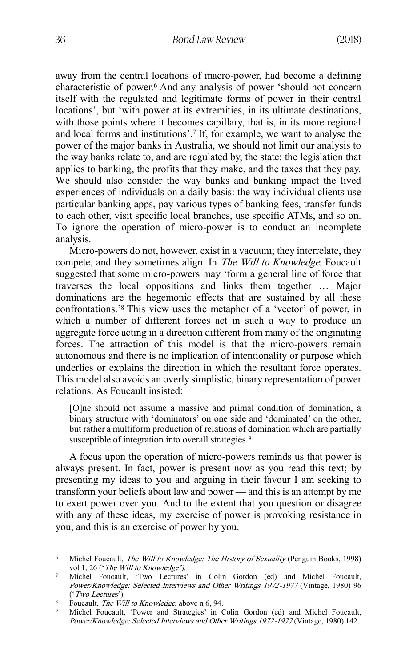away from the central locations of macro-power, had become a defining characteristic of power.<sup>6</sup> And any analysis of power 'should not concern itself with the regulated and legitimate forms of power in their central locations', but 'with power at its extremities, in its ultimate destinations, with those points where it becomes capillary, that is, in its more regional and local forms and institutions'.<sup>7</sup> If, for example, we want to analyse the power of the major banks in Australia, we should not limit our analysis to the way banks relate to, and are regulated by, the state: the legislation that applies to banking, the profits that they make, and the taxes that they pay. We should also consider the way banks and banking impact the lived experiences of individuals on a daily basis: the way individual clients use particular banking apps, pay various types of banking fees, transfer funds to each other, visit specific local branches, use specific ATMs, and so on. To ignore the operation of micro-power is to conduct an incomplete analysis.

Micro-powers do not, however, exist in a vacuum; they interrelate, they compete, and they sometimes align. In *The Will to Knowledge*, Foucault suggested that some micro-powers may 'form a general line of force that traverses the local oppositions and links them together … Major dominations are the hegemonic effects that are sustained by all these confrontations.'<sup>8</sup> This view uses the metaphor of a 'vector' of power, in which a number of different forces act in such a way to produce an aggregate force acting in a direction different from many of the originating forces. The attraction of this model is that the micro-powers remain autonomous and there is no implication of intentionality or purpose which underlies or explains the direction in which the resultant force operates. This model also avoids an overly simplistic, binary representation of power relations. As Foucault insisted:

[O]ne should not assume a massive and primal condition of domination, a binary structure with 'dominators' on one side and 'dominated' on the other, but rather a multiform production of relations of domination which are partially susceptible of integration into overall strategies.<sup>9</sup>

A focus upon the operation of micro-powers reminds us that power is always present. In fact, power is present now as you read this text; by presenting my ideas to you and arguing in their favour I am seeking to transform your beliefs about law and power — and this is an attempt by me to exert power over you. And to the extent that you question or disagree with any of these ideas, my exercise of power is provoking resistance in you, and this is an exercise of power by you.

<sup>&</sup>lt;sup>6</sup> Michel Foucault, *The Will to Knowledge: The History of Sexuality* (Penguin Books, 1998) vol 1, 26 ('*The Will to Knowledge')*.

<sup>7</sup> Michel Foucault, 'Two Lectures' in Colin Gordon (ed) and Michel Foucault, Power/Knowledge: Selected Interviews and Other Writings 1972-1977 (Vintage, 1980) 96 ('Two Lectures').

<sup>&</sup>lt;sup>8</sup> Foucault, *The Will to Knowledge*, above n 6, 94.

<sup>9</sup> Michel Foucault, 'Power and Strategies' in Colin Gordon (ed) and Michel Foucault, Power/Knowledge: Selected Interviews and Other Writings 1972-1977 (Vintage, 1980) 142.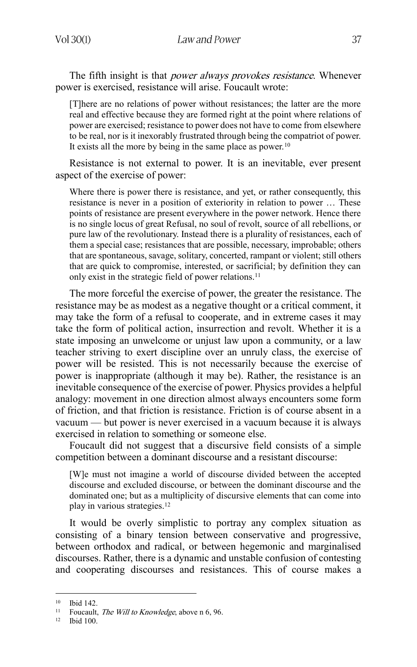The fifth insight is that *power always provokes resistance*. Whenever power is exercised, resistance will arise. Foucault wrote:

[T]here are no relations of power without resistances; the latter are the more real and effective because they are formed right at the point where relations of power are exercised; resistance to power does not have to come from elsewhere to be real, nor is it inexorably frustrated through being the compatriot of power. It exists all the more by being in the same place as power.<sup>10</sup>

Resistance is not external to power. It is an inevitable, ever present aspect of the exercise of power:

Where there is power there is resistance, and yet, or rather consequently, this resistance is never in a position of exteriority in relation to power … These points of resistance are present everywhere in the power network. Hence there is no single locus of great Refusal, no soul of revolt, source of all rebellions, or pure law of the revolutionary. Instead there is a plurality of resistances, each of them a special case; resistances that are possible, necessary, improbable; others that are spontaneous, savage, solitary, concerted, rampant or violent; still others that are quick to compromise, interested, or sacrificial; by definition they can only exist in the strategic field of power relations.<sup>11</sup>

The more forceful the exercise of power, the greater the resistance. The resistance may be as modest as a negative thought or a critical comment, it may take the form of a refusal to cooperate, and in extreme cases it may take the form of political action, insurrection and revolt. Whether it is a state imposing an unwelcome or unjust law upon a community, or a law teacher striving to exert discipline over an unruly class, the exercise of power will be resisted. This is not necessarily because the exercise of power is inappropriate (although it may be). Rather, the resistance is an inevitable consequence of the exercise of power. Physics provides a helpful analogy: movement in one direction almost always encounters some form of friction, and that friction is resistance. Friction is of course absent in a vacuum — but power is never exercised in a vacuum because it is always exercised in relation to something or someone else.

Foucault did not suggest that a discursive field consists of a simple competition between a dominant discourse and a resistant discourse:

[W]e must not imagine a world of discourse divided between the accepted discourse and excluded discourse, or between the dominant discourse and the dominated one; but as a multiplicity of discursive elements that can come into play in various strategies.<sup>12</sup>

It would be overly simplistic to portray any complex situation as consisting of a binary tension between conservative and progressive, between orthodox and radical, or between hegemonic and marginalised discourses. Rather, there is a dynamic and unstable confusion of contesting and cooperating discourses and resistances. This of course makes a

<sup>10</sup> Ibid 142.

<sup>&</sup>lt;sup>11</sup> Foucault, *The Will to Knowledge*, above n 6, 96.

<sup>12</sup> Ibid 100.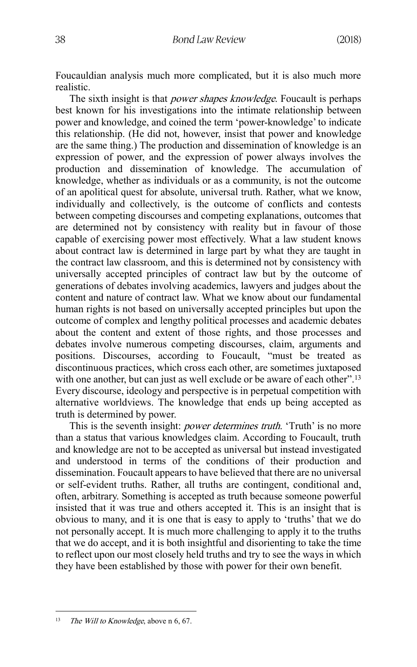Foucauldian analysis much more complicated, but it is also much more realistic.

The sixth insight is that *power shapes knowledge*. Foucault is perhaps best known for his investigations into the intimate relationship between power and knowledge, and coined the term 'power-knowledge' to indicate this relationship. (He did not, however, insist that power and knowledge are the same thing.) The production and dissemination of knowledge is an expression of power, and the expression of power always involves the production and dissemination of knowledge. The accumulation of knowledge, whether as individuals or as a community, is not the outcome of an apolitical quest for absolute, universal truth. Rather, what we know, individually and collectively, is the outcome of conflicts and contests between competing discourses and competing explanations, outcomes that are determined not by consistency with reality but in favour of those capable of exercising power most effectively. What a law student knows about contract law is determined in large part by what they are taught in the contract law classroom, and this is determined not by consistency with universally accepted principles of contract law but by the outcome of generations of debates involving academics, lawyers and judges about the content and nature of contract law. What we know about our fundamental human rights is not based on universally accepted principles but upon the outcome of complex and lengthy political processes and academic debates about the content and extent of those rights, and those processes and debates involve numerous competing discourses, claim, arguments and positions. Discourses, according to Foucault, "must be treated as discontinuous practices, which cross each other, are sometimes juxtaposed with one another, but can just as well exclude or be aware of each other".<sup>13</sup> Every discourse, ideology and perspective is in perpetual competition with alternative worldviews. The knowledge that ends up being accepted as truth is determined by power.

This is the seventh insight: *power determines truth*. 'Truth' is no more than a status that various knowledges claim. According to Foucault, truth and knowledge are not to be accepted as universal but instead investigated and understood in terms of the conditions of their production and dissemination. Foucault appears to have believed that there are no universal or self-evident truths. Rather, all truths are contingent, conditional and, often, arbitrary. Something is accepted as truth because someone powerful insisted that it was true and others accepted it. This is an insight that is obvious to many, and it is one that is easy to apply to 'truths' that we do not personally accept. It is much more challenging to apply it to the truths that we do accept, and it is both insightful and disorienting to take the time to reflect upon our most closely held truths and try to see the ways in which they have been established by those with power for their own benefit.

<sup>1</sup> <sup>13</sup> The Will to Knowledge, above n 6, 67.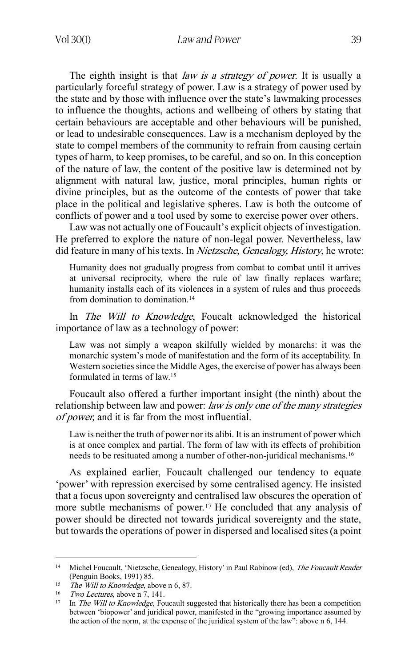The eighth insight is that *law is a strategy of power*. It is usually a particularly forceful strategy of power. Law is a strategy of power used by the state and by those with influence over the state's lawmaking processes to influence the thoughts, actions and wellbeing of others by stating that certain behaviours are acceptable and other behaviours will be punished, or lead to undesirable consequences. Law is a mechanism deployed by the state to compel members of the community to refrain from causing certain types of harm, to keep promises, to be careful, and so on. In this conception of the nature of law, the content of the positive law is determined not by alignment with natural law, justice, moral principles, human rights or divine principles, but as the outcome of the contests of power that take place in the political and legislative spheres. Law is both the outcome of conflicts of power and a tool used by some to exercise power over others.

Law was not actually one of Foucault's explicit objects of investigation. He preferred to explore the nature of non-legal power. Nevertheless, law did feature in many of his texts. In *Nietzsche, Genealogy, History*, he wrote:

Humanity does not gradually progress from combat to combat until it arrives at universal reciprocity, where the rule of law finally replaces warfare; humanity installs each of its violences in a system of rules and thus proceeds from domination to domination.<sup>14</sup>

In *The Will to Knowledge*, Foucalt acknowledged the historical importance of law as a technology of power:

Law was not simply a weapon skilfully wielded by monarchs: it was the monarchic system's mode of manifestation and the form of its acceptability. In Western societies since the Middle Ages, the exercise of power has always been formulated in terms of law.<sup>15</sup>

Foucault also offered a further important insight (the ninth) about the relationship between law and power: law is only one of the many strategies of power, and it is far from the most influential.

Law is neither the truth of power nor its alibi. It is an instrument of power which is at once complex and partial. The form of law with its effects of prohibition needs to be resituated among a number of other-non-juridical mechanisms.<sup>16</sup>

As explained earlier, Foucault challenged our tendency to equate 'power' with repression exercised by some centralised agency. He insisted that a focus upon sovereignty and centralised law obscures the operation of more subtle mechanisms of power.<sup>17</sup> He concluded that any analysis of power should be directed not towards juridical sovereignty and the state, but towards the operations of power in dispersed and localised sites (a point

**<sup>.</sup>** <sup>14</sup> Michel Foucault, 'Nietzsche, Genealogy, History' in Paul Rabinow (ed), *The Foucault Reader* (Penguin Books, 1991) 85.

<sup>&</sup>lt;sup>15</sup> The Will to Knowledge, above n 6, 87.

<sup>&</sup>lt;sup>16</sup> Two Lectures, above n 7, 141.

<sup>&</sup>lt;sup>17</sup> In *The Will to Knowledge*, Foucault suggested that historically there has been a competition between 'biopower' and juridical power, manifested in the "growing importance assumed by the action of the norm, at the expense of the juridical system of the law": above n 6, 144.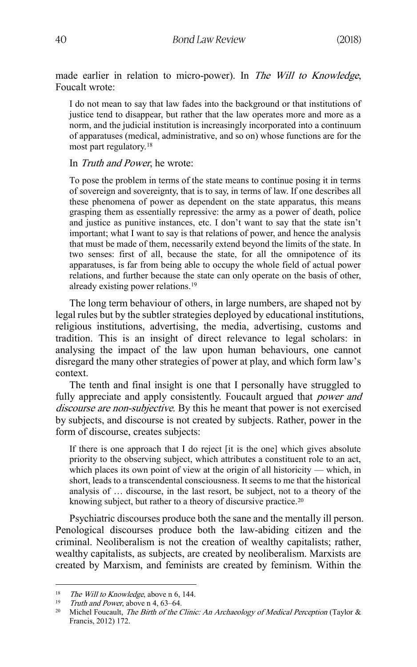made earlier in relation to micro-power). In The Will to Knowledge, Foucalt wrote:

I do not mean to say that law fades into the background or that institutions of justice tend to disappear, but rather that the law operates more and more as a norm, and the judicial institution is increasingly incorporated into a continuum of apparatuses (medical, administrative, and so on) whose functions are for the most part regulatory.<sup>18</sup>

In Truth and Power, he wrote:

To pose the problem in terms of the state means to continue posing it in terms of sovereign and sovereignty, that is to say, in terms of law. If one describes all these phenomena of power as dependent on the state apparatus, this means grasping them as essentially repressive: the army as a power of death, police and justice as punitive instances, etc. I don't want to say that the state isn't important; what I want to say is that relations of power, and hence the analysis that must be made of them, necessarily extend beyond the limits of the state. In two senses: first of all, because the state, for all the omnipotence of its apparatuses, is far from being able to occupy the whole field of actual power relations, and further because the state can only operate on the basis of other, already existing power relations.<sup>19</sup>

The long term behaviour of others, in large numbers, are shaped not by legal rules but by the subtler strategies deployed by educational institutions, religious institutions, advertising, the media, advertising, customs and tradition. This is an insight of direct relevance to legal scholars: in analysing the impact of the law upon human behaviours, one cannot disregard the many other strategies of power at play, and which form law's context.

The tenth and final insight is one that I personally have struggled to fully appreciate and apply consistently. Foucault argued that *power and* discourse are non-subjective. By this he meant that power is not exercised by subjects, and discourse is not created by subjects. Rather, power in the form of discourse, creates subjects:

If there is one approach that I do reject [it is the one] which gives absolute priority to the observing subject, which attributes a constituent role to an act, which places its own point of view at the origin of all historicity — which, in short, leads to a transcendental consciousness. It seems to me that the historical analysis of … discourse, in the last resort, be subject, not to a theory of the knowing subject, but rather to a theory of discursive practice.<sup>20</sup>

Psychiatric discourses produce both the sane and the mentally ill person. Penological discourses produce both the law-abiding citizen and the criminal. Neoliberalism is not the creation of wealthy capitalists; rather, wealthy capitalists, as subjects, are created by neoliberalism. Marxists are created by Marxism, and feminists are created by feminism. Within the

<sup>&</sup>lt;sup>18</sup> The Will to Knowledge, above n 6, 144.

<sup>&</sup>lt;sup>19</sup> Truth and Power, above n 4, 63–64.

<sup>&</sup>lt;sup>20</sup> Michel Foucault, *The Birth of the Clinic: An Archaeology of Medical Perception* (Taylor  $\&$ Francis, 2012) 172.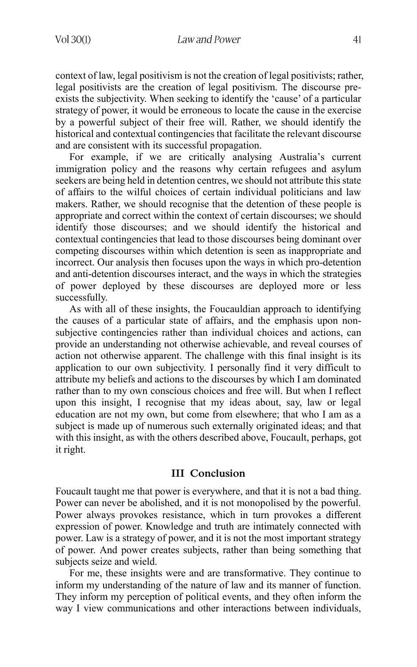context of law, legal positivism is not the creation of legal positivists; rather, legal positivists are the creation of legal positivism. The discourse preexists the subjectivity. When seeking to identify the 'cause' of a particular strategy of power, it would be erroneous to locate the cause in the exercise by a powerful subject of their free will. Rather, we should identify the historical and contextual contingencies that facilitate the relevant discourse and are consistent with its successful propagation.

For example, if we are critically analysing Australia's current immigration policy and the reasons why certain refugees and asylum seekers are being held in detention centres, we should not attribute this state of affairs to the wilful choices of certain individual politicians and law makers. Rather, we should recognise that the detention of these people is appropriate and correct within the context of certain discourses; we should identify those discourses; and we should identify the historical and contextual contingencies that lead to those discourses being dominant over competing discourses within which detention is seen as inappropriate and incorrect. Our analysis then focuses upon the ways in which pro-detention and anti-detention discourses interact, and the ways in which the strategies of power deployed by these discourses are deployed more or less successfully.

As with all of these insights, the Foucauldian approach to identifying the causes of a particular state of affairs, and the emphasis upon nonsubjective contingencies rather than individual choices and actions, can provide an understanding not otherwise achievable, and reveal courses of action not otherwise apparent. The challenge with this final insight is its application to our own subjectivity. I personally find it very difficult to attribute my beliefs and actions to the discourses by which I am dominated rather than to my own conscious choices and free will. But when I reflect upon this insight, I recognise that my ideas about, say, law or legal education are not my own, but come from elsewhere; that who I am as a subject is made up of numerous such externally originated ideas; and that with this insight, as with the others described above, Foucault, perhaps, got it right.

### **III Conclusion**

Foucault taught me that power is everywhere, and that it is not a bad thing. Power can never be abolished, and it is not monopolised by the powerful. Power always provokes resistance, which in turn provokes a different expression of power. Knowledge and truth are intimately connected with power. Law is a strategy of power, and it is not the most important strategy of power. And power creates subjects, rather than being something that subjects seize and wield.

For me, these insights were and are transformative. They continue to inform my understanding of the nature of law and its manner of function. They inform my perception of political events, and they often inform the way I view communications and other interactions between individuals,